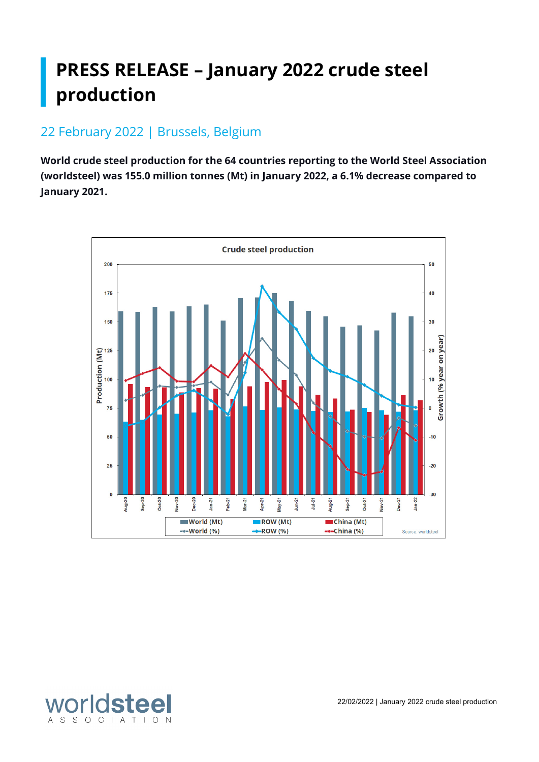# **PRESS RELEASE – January 2022 crude steel production**

## 22 February 2022 | Brussels, Belgium

**World crude steel production for the 64 countries reporting to the World Steel Association (worldsteel) was 155.0 million tonnes (Mt) in January 2022, a 6.1% decrease compared to January 2021.**



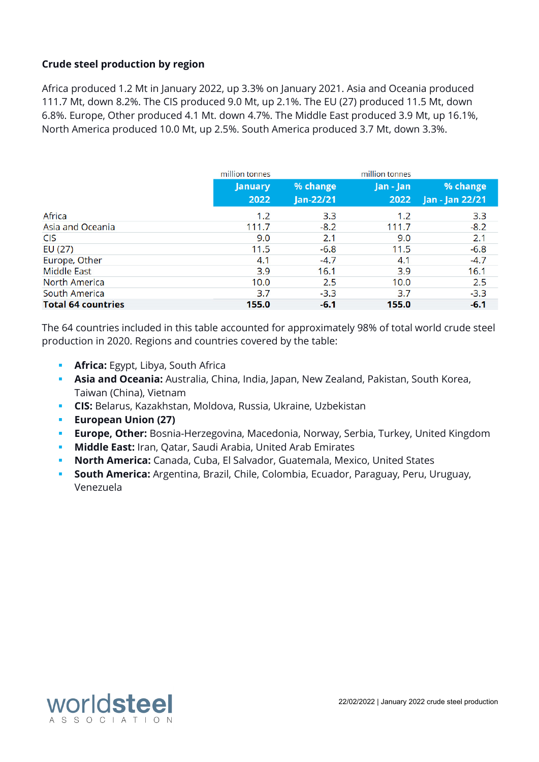#### **Crude steel production by region**

Africa produced 1.2 Mt in January 2022, up 3.3% on January 2021. Asia and Oceania produced 111.7 Mt, down 8.2%. The CIS produced 9.0 Mt, up 2.1%. The EU (27) produced 11.5 Mt, down 6.8%. Europe, Other produced 4.1 Mt. down 4.7%. The Middle East produced 3.9 Mt, up 16.1%, North America produced 10.0 Mt, up 2.5%. South America produced 3.7 Mt, down 3.3%.

|                           | million tonnes |           | million tonnes |                 |
|---------------------------|----------------|-----------|----------------|-----------------|
|                           | <b>January</b> | % change  | Jan - Jan      | % change        |
|                           | 2022           | Jan-22/21 | 2022           | Jan - Jan 22/21 |
| Africa                    | 1.2            | 3.3       | 1.2            | 3.3             |
| Asia and Oceania          | 111.7          | $-8.2$    | 111.7          | $-8.2$          |
| <b>CIS</b>                | 9.0            | 2.1       | 9.0            | 2.1             |
| EU(27)                    | 11.5           | $-6.8$    | 11.5           | $-6.8$          |
| Europe, Other             | 4.1            | $-4.7$    | 4.1            | $-4.7$          |
| <b>Middle East</b>        | 3.9            | 16.1      | 3.9            | 16.1            |
| North America             | 10.0           | 2.5       | 10.0           | 2.5             |
| South America             | 3.7            | $-3.3$    | 3.7            | $-3.3$          |
| <b>Total 64 countries</b> | 155.0          | $-6.1$    | 155.0          | $-6.1$          |

The 64 countries included in this table accounted for approximately 98% of total world crude steel production in 2020. Regions and countries covered by the table:

- **Africa:** Egypt, Libya, South Africa
- **Asia and Oceania:** Australia, China, India, Japan, New Zealand, Pakistan, South Korea, Taiwan (China), Vietnam
- **CIS:** Belarus, Kazakhstan, Moldova, Russia, Ukraine, Uzbekistan
- **European Union (27)**
- **Europe, Other:** Bosnia-Herzegovina, Macedonia, Norway, Serbia, Turkey, United Kingdom
- **Middle East:** Iran, Qatar, Saudi Arabia, United Arab Emirates
- **North America:** Canada, Cuba, El Salvador, Guatemala, Mexico, United States
- **South America:** Argentina, Brazil, Chile, Colombia, Ecuador, Paraguay, Peru, Uruguay, Venezuela